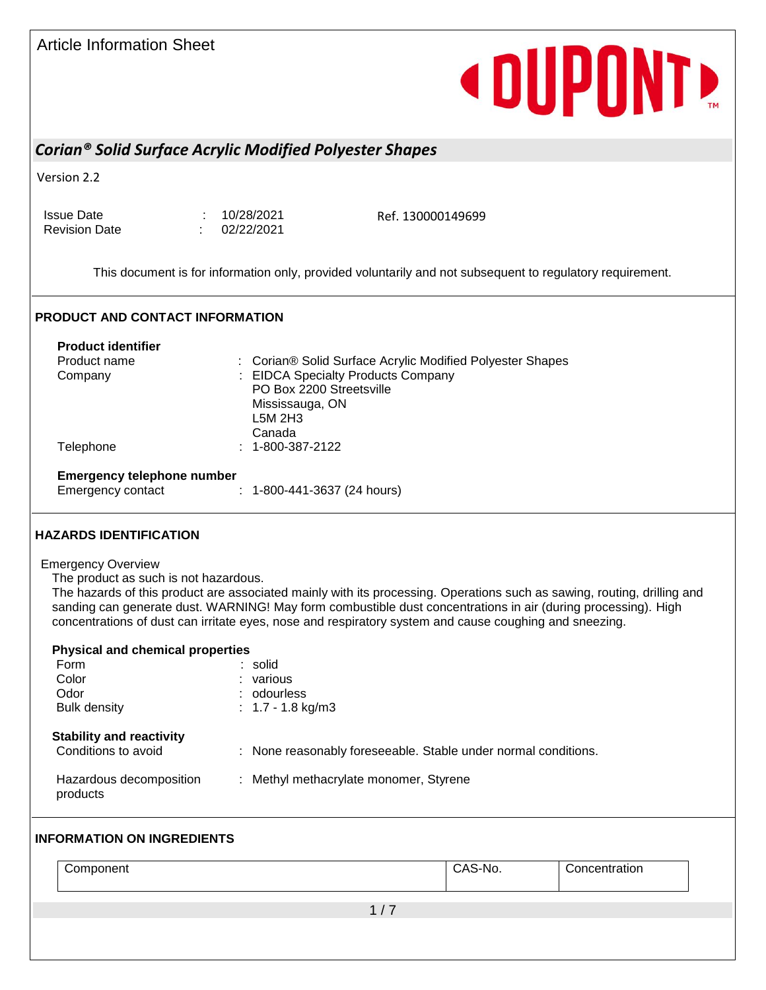| <b>Article Information Sheet</b> |  |
|----------------------------------|--|
|                                  |  |

## **«DUPONT**

## *Corian® Solid Surface Acrylic Modified Polyester Shapes*

Version 2.2

Issue Date : 10/28/2021 Revision Date : 02/22/2021

Ref. 130000149699

This document is for information only, provided voluntarily and not subsequent to regulatory requirement.

### **PRODUCT AND CONTACT INFORMATION**

| <b>Product identifier</b>         |                                                                     |
|-----------------------------------|---------------------------------------------------------------------|
| Product name                      | Corian <sup>®</sup> Solid Surface Acrylic Modified Polyester Shapes |
| Company                           | : EIDCA Specialty Products Company                                  |
|                                   | PO Box 2200 Streetsville                                            |
|                                   | Mississauga, ON                                                     |
|                                   | L5M 2H3                                                             |
|                                   | Canada                                                              |
| Telephone                         | $: 1 - 800 - 387 - 2122$                                            |
| <b>Emergency telephone number</b> |                                                                     |
| Emergency contact                 | $: 1 - 800 - 441 - 3637$ (24 hours)                                 |

#### **HAZARDS IDENTIFICATION**

#### Emergency Overview

The product as such is not hazardous.

The hazards of this product are associated mainly with its processing. Operations such as sawing, routing, drilling and sanding can generate dust. WARNING! May form combustible dust concentrations in air (during processing). High concentrations of dust can irritate eyes, nose and respiratory system and cause coughing and sneezing.

| <b>Physical and chemical properties</b>                |                                                                |
|--------------------------------------------------------|----------------------------------------------------------------|
| Form                                                   | : solid                                                        |
| Color                                                  | various                                                        |
| Odor                                                   | : odourless                                                    |
| <b>Bulk density</b>                                    | : $1.7 - 1.8$ kg/m3                                            |
| <b>Stability and reactivity</b><br>Conditions to avoid | : None reasonably foreseeable. Stable under normal conditions. |
| Hazardous decomposition<br>products                    | : Methyl methacrylate monomer, Styrene                         |

### **INFORMATION ON INGREDIENTS**

| Component | CAS-No. | Concentration |
|-----------|---------|---------------|
|           |         |               |
|           |         |               |
|           |         |               |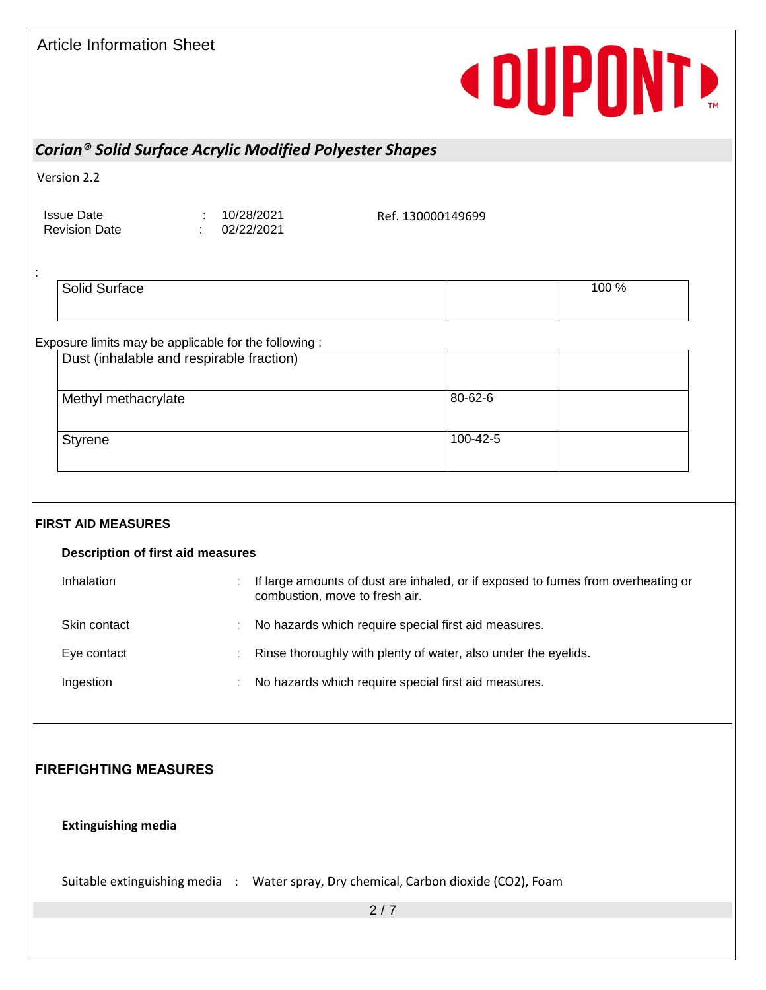| <b>Article Information Sheet</b> |  |
|----------------------------------|--|
|                                  |  |

## **«DUPONT**

## *Corian® Solid Surface Acrylic Modified Polyester Shapes*

Version 2.2

:

Issue Date : 10/28/2021 Revision Date : 02/22/2021

Ref. 130000149699

| Solid Surface | 100 % |
|---------------|-------|
|               |       |
|               |       |

## Exposure limits may be applicable for the following :

| Dust (inhalable and respirable fraction) |          |  |
|------------------------------------------|----------|--|
| Methyl methacrylate                      | 80-62-6  |  |
| Styrene                                  | 100-42-5 |  |

## **FIRST AID MEASURES**

## **Description of first aid measures** Inhalation : If large amounts of dust are inhaled, or if exposed to fumes from overheating or combustion, move to fresh air. Skin contact **in the set of the set of the Skin contact** special first aid measures. Eye contact **Exercise :** Rinse thoroughly with plenty of water, also under the eyelids. Ingestion **in the set of the State of the State I** has a local measures.

## **FIREFIGHTING MEASURES**

#### **Extinguishing media**

Suitable extinguishing media : Water spray, Dry chemical, Carbon dioxide (CO2), Foam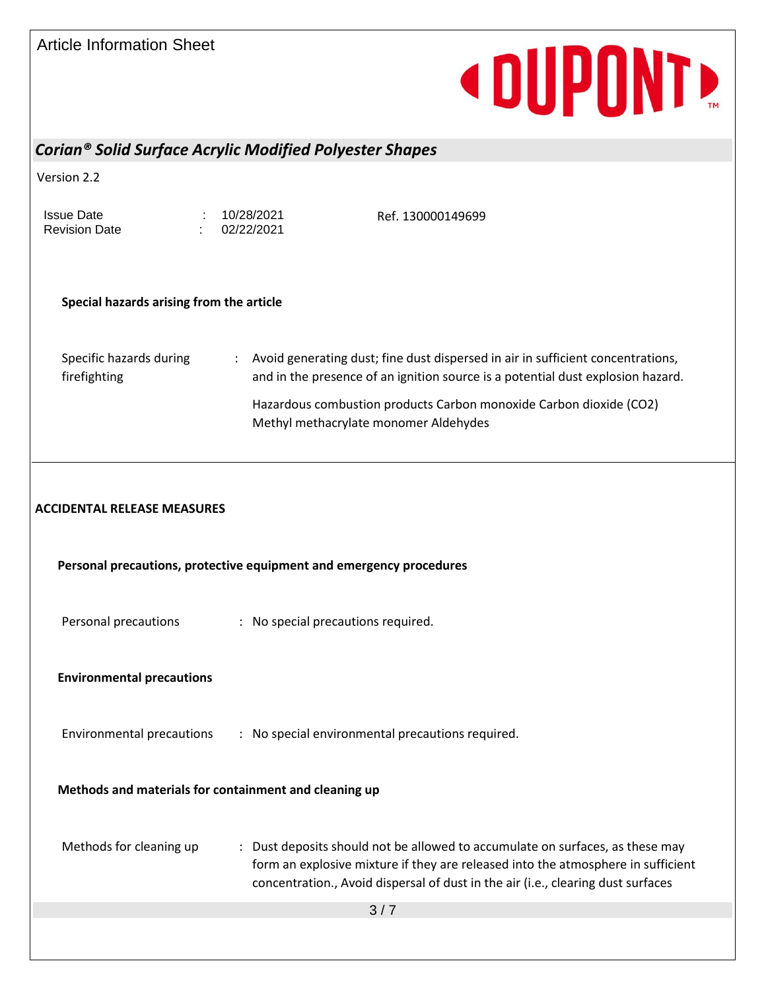Article Information Sheet **« DUPONTE** *Corian® Solid Surface Acrylic Modified Polyester Shapes* Version 2.2 Issue Date : 10/28/2021 Ref. 130000149699 Revision Date : 02/22/2021 **Special hazards arising from the article** Specific hazards during : Avoid generating dust; fine dust dispersed in air in sufficient concentrations, firefighting and in the presence of an ignition source is a potential dust explosion hazard. Hazardous combustion products Carbon monoxide Carbon dioxide (CO2) Methyl methacrylate monomer Aldehydes **ACCIDENTAL RELEASE MEASURES Personal precautions, protective equipment and emergency procedures** Personal precautions : No special precautions required. **Environmental precautions** Environmental precautions : No special environmental precautions required. **Methods and materials for containment and cleaning up** Methods for cleaning up : Dust deposits should not be allowed to accumulate on surfaces, as these may form an explosive mixture if they are released into the atmosphere in sufficient concentration., Avoid dispersal of dust in the air (i.e., clearing dust surfaces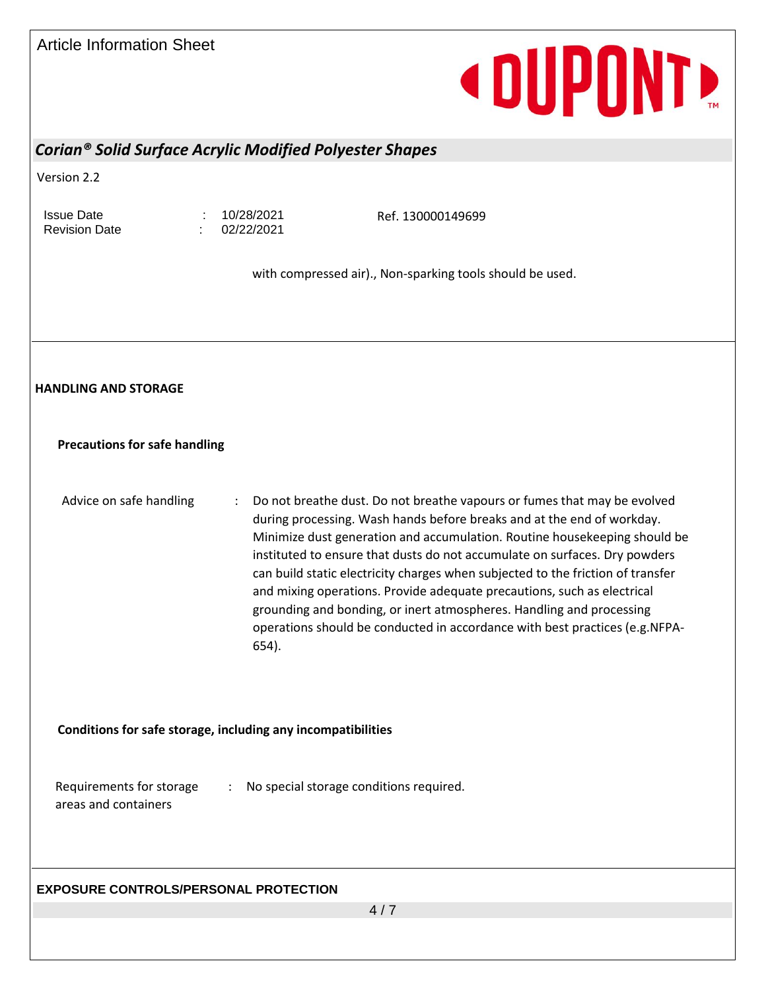| <b>Article Information Sheet</b>                 | <b>«DUPONT»</b>                                                                                                                                                                                                                                                                                                                                                                                                                                                                                                                                                                                                                              |
|--------------------------------------------------|----------------------------------------------------------------------------------------------------------------------------------------------------------------------------------------------------------------------------------------------------------------------------------------------------------------------------------------------------------------------------------------------------------------------------------------------------------------------------------------------------------------------------------------------------------------------------------------------------------------------------------------------|
|                                                  | Corian® Solid Surface Acrylic Modified Polyester Shapes                                                                                                                                                                                                                                                                                                                                                                                                                                                                                                                                                                                      |
| Version 2.2                                      |                                                                                                                                                                                                                                                                                                                                                                                                                                                                                                                                                                                                                                              |
| <b>Issue Date</b><br><b>Revision Date</b>        | 10/28/2021<br>Ref. 130000149699<br>02/22/2021                                                                                                                                                                                                                                                                                                                                                                                                                                                                                                                                                                                                |
|                                                  | with compressed air)., Non-sparking tools should be used.                                                                                                                                                                                                                                                                                                                                                                                                                                                                                                                                                                                    |
| <b>HANDLING AND STORAGE</b>                      |                                                                                                                                                                                                                                                                                                                                                                                                                                                                                                                                                                                                                                              |
| <b>Precautions for safe handling</b>             |                                                                                                                                                                                                                                                                                                                                                                                                                                                                                                                                                                                                                                              |
| Advice on safe handling                          | Do not breathe dust. Do not breathe vapours or fumes that may be evolved<br>during processing. Wash hands before breaks and at the end of workday.<br>Minimize dust generation and accumulation. Routine housekeeping should be<br>instituted to ensure that dusts do not accumulate on surfaces. Dry powders<br>can build static electricity charges when subjected to the friction of transfer<br>and mixing operations. Provide adequate precautions, such as electrical<br>grounding and bonding, or inert atmospheres. Handling and processing<br>operations should be conducted in accordance with best practices (e.g. NFPA-<br>654). |
|                                                  | Conditions for safe storage, including any incompatibilities                                                                                                                                                                                                                                                                                                                                                                                                                                                                                                                                                                                 |
| Requirements for storage<br>areas and containers | No special storage conditions required.<br>$\mathbb{Z}^{\mathbb{Z}}$                                                                                                                                                                                                                                                                                                                                                                                                                                                                                                                                                                         |

## **EXPOSURE CONTROLS/PERSONAL PROTECTION**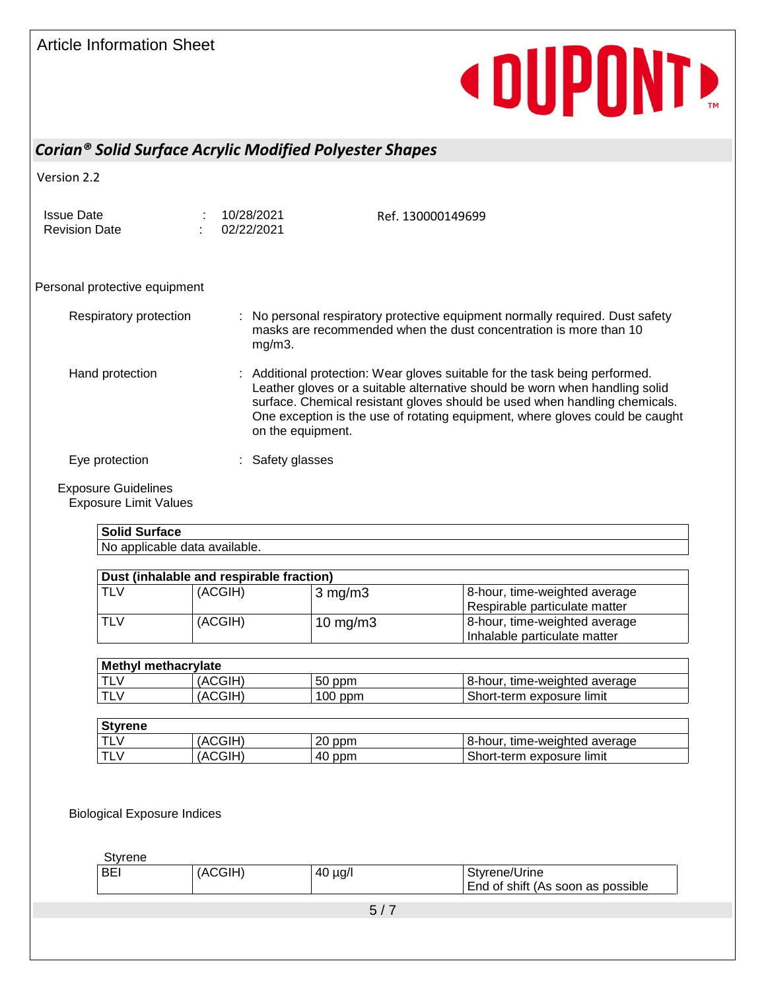# **«DUPONTE**

## *Corian® Solid Surface Acrylic Modified Polyester Shapes*

Version 2.2

Issue Date : 10/28/2021 Revision Date : 02/22/2021

Ref. 130000149699

### Personal protective equipment

| Respiratory protection | : No personal respiratory protective equipment normally required. Dust safety<br>masks are recommended when the dust concentration is more than 10<br>$mg/m3$ .                                                                                                                                                                               |
|------------------------|-----------------------------------------------------------------------------------------------------------------------------------------------------------------------------------------------------------------------------------------------------------------------------------------------------------------------------------------------|
| Hand protection        | : Additional protection: Wear gloves suitable for the task being performed.<br>Leather gloves or a suitable alternative should be worn when handling solid<br>surface. Chemical resistant gloves should be used when handling chemicals.<br>One exception is the use of rotating equipment, where gloves could be caught<br>on the equipment. |
| Eye protection         | : Safety glasses                                                                                                                                                                                                                                                                                                                              |

## Exposure Guidelines

Exposure Limit Values

## **Solid Surface**

| No applicable data available. |
|-------------------------------|
|-------------------------------|

| Dust (inhalable and respirable fraction) |         |                  |                                                                |  |
|------------------------------------------|---------|------------------|----------------------------------------------------------------|--|
| TLV                                      | (ACGIH) | $\sqrt{3}$ mg/m3 | 8-hour, time-weighted average<br>Respirable particulate matter |  |
| <b>TLV</b>                               | (ACGIH) | 10 $mg/m3$       | 8-hour, time-weighted average<br>Inhalable particulate matter  |  |

| <b>Methyl methacrylate</b> |         |           |                               |
|----------------------------|---------|-----------|-------------------------------|
| <b>TLV</b>                 | (ACGIH) | 50 ppm    | 8-hour, time-weighted average |
| <b>TLV</b>                 | (ACGIH) | $100$ ppm | Short-term exposure limit     |

| <b>Styrene</b> |         |        |                                  |  |  |  |
|----------------|---------|--------|----------------------------------|--|--|--|
|                | (ACGIH) | 20 ppm | time-weighted average<br>8-hour. |  |  |  |
| ►              | (ACGIH) | 40 ppm | Short-term exposure limit        |  |  |  |

Biological Exposure Indices

**Styrene** 

| √of shift<br>as possible<br>End<br>(As<br>` soon |
|--------------------------------------------------|
|--------------------------------------------------|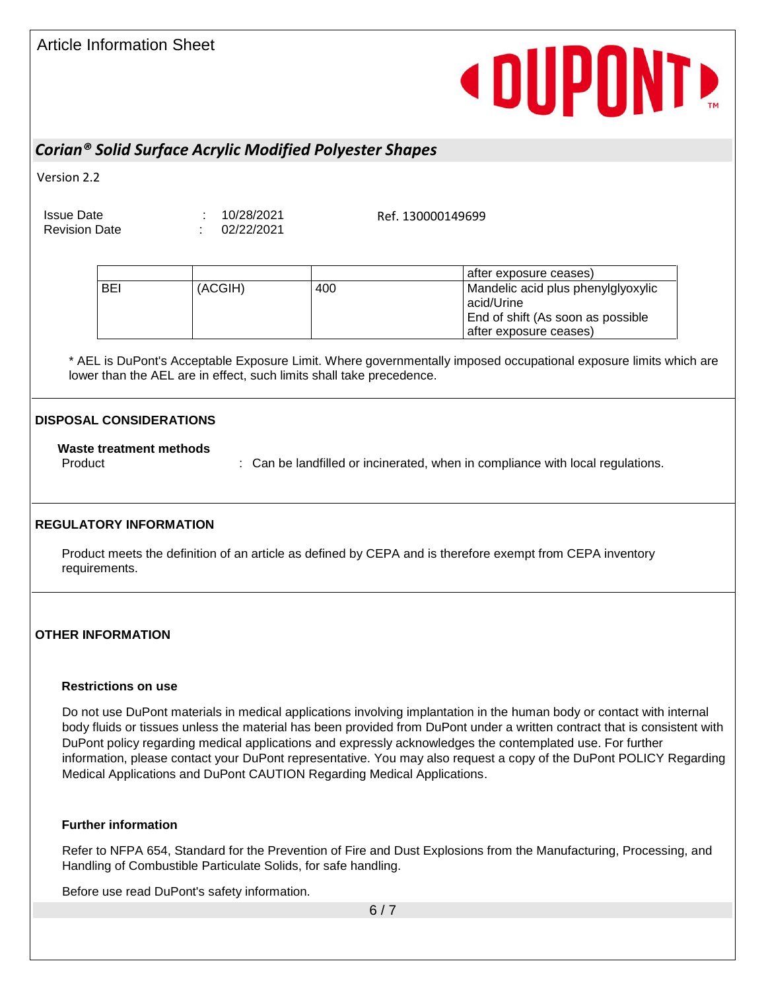# **« DUPONTE**

## *Corian® Solid Surface Acrylic Modified Polyester Shapes*

Version 2.2

Issue Date : 10/28/2021

Revision Date : 02/22/2021

Ref. 130000149699

|            |         |     | after exposure ceases)             |
|------------|---------|-----|------------------------------------|
| <b>BEI</b> | (ACGIH) | 400 | Mandelic acid plus phenylglyoxylic |
|            |         |     | acid/Urine                         |
|            |         |     | End of shift (As soon as possible  |
|            |         |     | after exposure ceases)             |

\* AEL is DuPont's Acceptable Exposure Limit. Where governmentally imposed occupational exposure limits which are lower than the AEL are in effect, such limits shall take precedence.

## **DISPOSAL CONSIDERATIONS**

### **Waste treatment methods**

Product **State of the landfilled or incinerated, when in compliance with local regulations.** 

#### **REGULATORY INFORMATION**

Product meets the definition of an article as defined by CEPA and is therefore exempt from CEPA inventory requirements.

### **OTHER INFORMATION**

#### **Restrictions on use**

Do not use DuPont materials in medical applications involving implantation in the human body or contact with internal body fluids or tissues unless the material has been provided from DuPont under a written contract that is consistent with DuPont policy regarding medical applications and expressly acknowledges the contemplated use. For further information, please contact your DuPont representative. You may also request a copy of the DuPont POLICY Regarding Medical Applications and DuPont CAUTION Regarding Medical Applications.

### **Further information**

Refer to NFPA 654, Standard for the Prevention of Fire and Dust Explosions from the Manufacturing, Processing, and Handling of Combustible Particulate Solids, for safe handling.

Before use read DuPont's safety information.